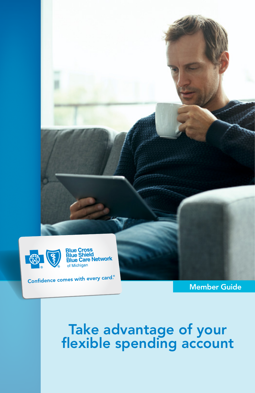

Member Guide

### Take advantage of your flexible spending account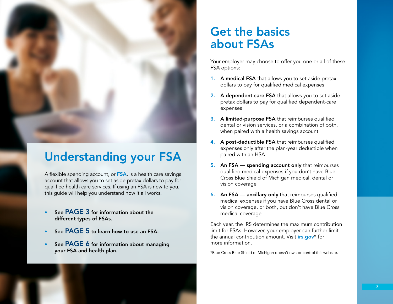

## Understanding your FSA

A flexible spending account, or FSA, is a health care savings account that allows you to set aside pretax dollars to pay for qualified health care services. If using an FSA is new to you, this guide will help you understand how it all works.

- See PAGE 3 for information about the different types of FSAs.
- See PAGE 5 to learn how to use an FSA.
- See PAGE 6 for information about managing your FSA and health plan.

## Get the basics about FSAs

Your employer may choose to offer you one or all of these FSA options:

- 1. A medical FSA that allows you to set aside pretax dollars to pay for qualified medical expenses
- 2. A dependent-care FSA that allows you to set aside pretax dollars to pay for qualified dependent-care expenses
- 3. A limited-purpose FSA that reimburses qualified dental or vision services, or a combination of both, when paired with a health savings account
- 4. A post-deductible FSA that reimburses qualified expenses only after the plan-year deductible when paired with an HSA
- 5. An FSA spending account only that reimburses qualified medical expenses if you don't have Blue Cross Blue Shield of Michigan medical, dental or vision coverage
- 6. An FSA ancillary only that reimburses qualified medical expenses if you have Blue Cross dental or vision coverage, or both, but don't have Blue Cross medical coverage

Each year, the IRS determines the maximum contribution limit for FSAs. However, your employer can further limit the annual contribution amount. Visit *irs.gov*\* for more information.

\*Blue Cross Blue Shield of Michigan doesn't own or control this website.

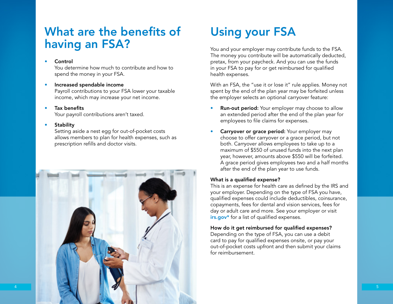## What are the benefits of having an FSA?

#### Control

You determine how much to contribute and how to spend the money in your FSA.

### • Increased spendable income

Payroll contributions to your FSA lower your taxable income, which may increase your net income.

Tax benefits Your payroll contributions aren't taxed.

### • Stability

Setting aside a nest egg for out-of-pocket costs allows members to plan for health expenses, such as prescription refills and doctor visits.



# Using your FSA

You and your employer may contribute funds to the FSA. The money you contribute will be automatically deducted, pretax, from your paycheck. And you can use the funds in your FSA to pay for or get reimbursed for qualified health expenses.

With an FSA, the "use it or lose it" rule applies. Money not spent by the end of the plan year may be forfeited unless the employer selects an optional carryover feature:

- **Run-out period:** Your employer may choose to allow an extended period after the end of the plan year for employees to file claims for expenses.
- Carryover or grace period: Your employer may choose to offer carryover or a grace period, but not both. Carryover allows employees to take up to a maximum of \$550 of unused funds into the next plan year, however, amounts above \$550 will be forfeited. A grace period gives employees two and a half months after the end of the plan year to use funds.

### What is a qualified expense?

This is an expense for health care as defined by the IRS and your employer. Depending on the type of FSA you have, qualified expenses could include deductibles, coinsurance, copayments, fees for dental and vision services, fees for day or adult care and more. See your employer or visit irs.gov\* for a list of qualified expenses.

### How do it get reimbursed for qualified expenses?

Depending on the type of FSA, you can use a debit card to pay for qualified expenses onsite, or pay your out-of-pocket costs upfront and then submit your claims for reimbursement.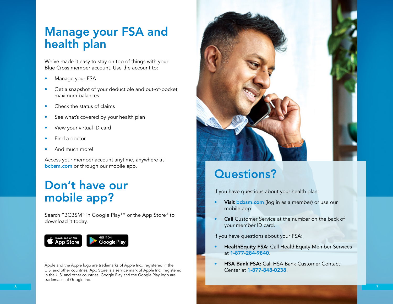## Manage your FSA and health plan

We've made it easy to stay on top of things with your Blue Cross member account. Use the account to:

- Manage your FSA
- Get a snapshot of your deductible and out-of-pocket maximum balances
- Check the status of claims
- See what's covered by your health plan
- View your virtual ID card
- Find a doctor
- And much more!

Access your member account anytime, anywhere at bcbsm.com or through our mobile app.

## Don't have our mobile app?

Search "BCBSM" in Google Play™ or the App Store® to download it today.



Apple and the Apple logo are trademarks of Apple Inc., registered in the U.S. and other countries. App Store is a service mark of Apple Inc., registered in the U.S. and other countries. Google Play and the Google Play logo are trademarks of Google Inc.



## Questions?

If you have questions about your health plan:

- Visit bcbsm.com (log in as a member) or use our mobile app.
- Call Customer Service at the number on the back of your member ID card.

If you have questions about your FSA:

- HealthEquity FSA: Call HealthEquity Member Services at 1-877-284-9840.
- HSA Bank FSA: Call HSA Bank Customer Contact Center at 1-877-848-0238.